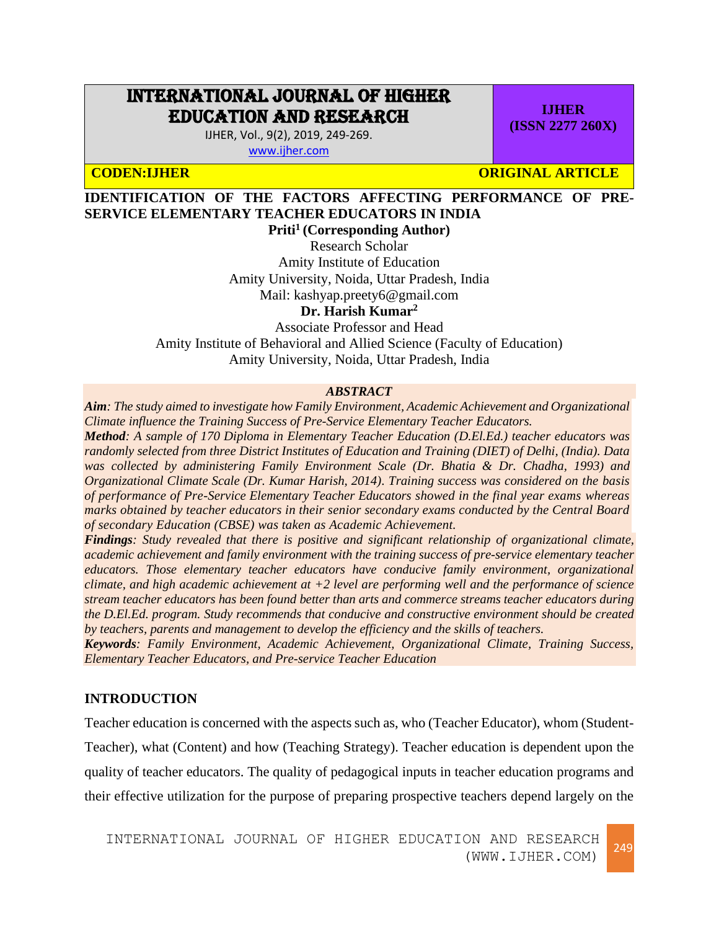# INTERNATIONAL JOURNAL OF HIGHER EDUCATION AND RESEARCH

IJHER, Vol., 9(2), 2019, 249-269. [www.ijher.com](http://www.ijher.com/)

**CODEN:IJHER ORIGINAL ARTICLE** 

**IJHER (ISSN 2277 260X)**

# **IDENTIFICATION OF THE FACTORS AFFECTING PERFORMANCE OF PRE-SERVICE ELEMENTARY TEACHER EDUCATORS IN INDIA**

**Priti<sup>1</sup> (Corresponding Author)** Research Scholar Amity Institute of Education Amity University, Noida, Uttar Pradesh, India Mail: kashyap.preety6@gmail.com

**Dr. Harish Kumar<sup>2</sup>**

Associate Professor and Head Amity Institute of Behavioral and Allied Science (Faculty of Education) Amity University, Noida, Uttar Pradesh, India

## *ABSTRACT*

*Aim: The study aimed to investigate how Family Environment, Academic Achievement and Organizational Climate influence the Training Success of Pre-Service Elementary Teacher Educators. Method: A sample of 170 Diploma in Elementary Teacher Education (D.El.Ed.) teacher educators was randomly selected from three District Institutes of Education and Training (DIET) of Delhi, (India). Data was collected by administering Family Environment Scale (Dr. Bhatia & Dr. Chadha, 1993) and Organizational Climate Scale (Dr. Kumar Harish, 2014). Training success was considered on the basis of performance of Pre-Service Elementary Teacher Educators showed in the final year exams whereas marks obtained by teacher educators in their senior secondary exams conducted by the Central Board of secondary Education (CBSE) was taken as Academic Achievement.*

*Findings: Study revealed that there is positive and significant relationship of organizational climate, academic achievement and family environment with the training success of pre-service elementary teacher educators. Those elementary teacher educators have conducive family environment, organizational climate, and high academic achievement at +2 level are performing well and the performance of science stream teacher educators has been found better than arts and commerce streams teacher educators during the D.El.Ed. program. Study recommends that conducive and constructive environment should be created by teachers, parents and management to develop the efficiency and the skills of teachers.*

*Keywords: Family Environment, Academic Achievement, Organizational Climate, Training Success, Elementary Teacher Educators, and Pre-service Teacher Education*

# **INTRODUCTION**

Teacher education is concerned with the aspects such as, who (Teacher Educator), whom (Student-Teacher), what (Content) and how (Teaching Strategy). Teacher education is dependent upon the quality of teacher educators. The quality of pedagogical inputs in teacher education programs and their effective utilization for the purpose of preparing prospective teachers depend largely on the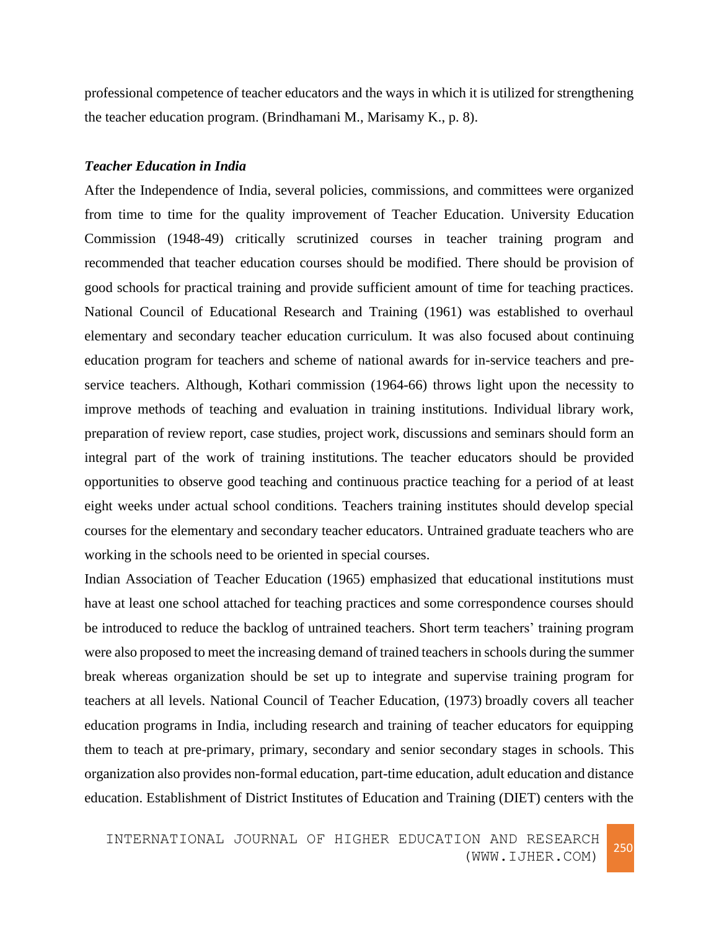professional competence of teacher educators and the ways in which it is utilized for strengthening the teacher education program. (Brindhamani M., Marisamy K., p. 8).

#### *Teacher Education in India*

After the Independence of India, several policies, commissions, and committees were organized from time to time for the quality improvement of Teacher Education. University Education Commission (1948-49) critically scrutinized courses in teacher training program and recommended that teacher education courses should be modified. There should be provision of good schools for practical training and provide sufficient amount of time for teaching practices. National Council of Educational Research and Training (1961) was established to overhaul elementary and secondary teacher education curriculum. It was also focused about continuing education program for teachers and scheme of national awards for in-service teachers and preservice teachers. Although, Kothari commission (1964-66) throws light upon the necessity to improve methods of teaching and evaluation in training institutions. Individual library work, preparation of review report, case studies, project work, discussions and seminars should form an integral part of the work of training institutions. The teacher educators should be provided opportunities to observe good teaching and continuous practice teaching for a period of at least eight weeks under actual school conditions. Teachers training institutes should develop special courses for the elementary and secondary teacher educators. Untrained graduate teachers who are working in the schools need to be oriented in special courses.

Indian Association of Teacher Education (1965) emphasized that educational institutions must have at least one school attached for teaching practices and some correspondence courses should be introduced to reduce the backlog of untrained teachers. Short term teachers' training program were also proposed to meet the increasing demand of trained teachers in schools during the summer break whereas organization should be set up to integrate and supervise training program for teachers at all levels. National Council of Teacher Education, (1973) broadly covers all teacher education programs in India, including research and training of teacher educators for equipping them to teach at pre-primary, primary, secondary and senior secondary stages in schools. This organization also provides non-formal education, part-time education, adult education and distance education. Establishment of District Institutes of Education and Training (DIET) centers with the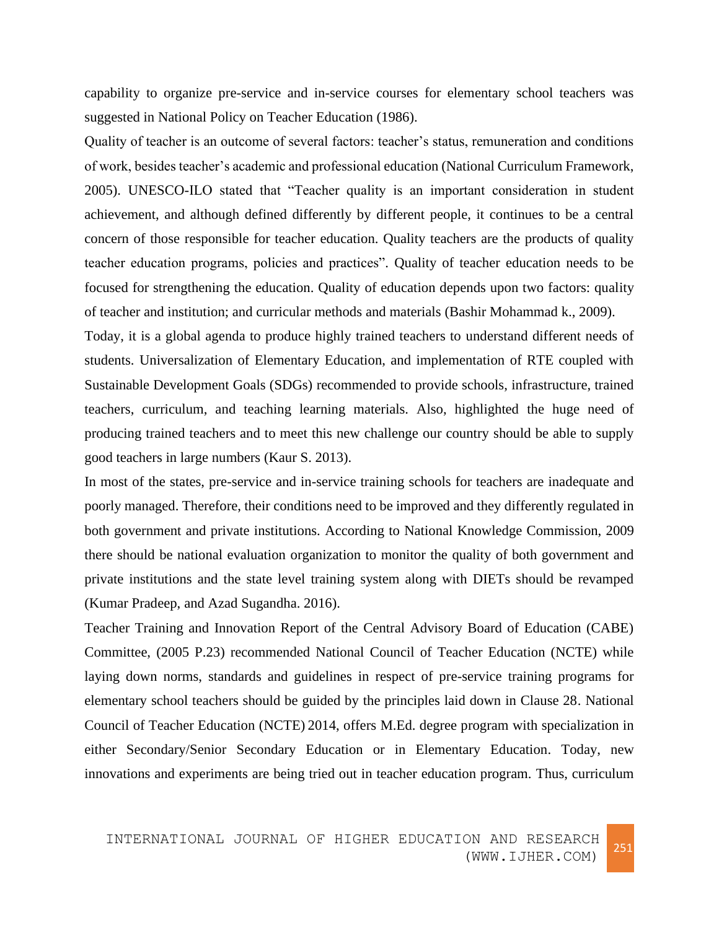capability to organize pre-service and in-service courses for elementary school teachers was suggested in National Policy on Teacher Education (1986).

Quality of teacher is an outcome of several factors: teacher's status, remuneration and conditions of work, besides teacher's academic and professional education (National Curriculum Framework, 2005). UNESCO-ILO stated that "Teacher quality is an important consideration in student achievement, and although defined differently by different people, it continues to be a central concern of those responsible for teacher education. Quality teachers are the products of quality teacher education programs, policies and practices". Quality of teacher education needs to be focused for strengthening the education. Quality of education depends upon two factors: quality of teacher and institution; and curricular methods and materials (Bashir Mohammad k., 2009).

Today, it is a global agenda to produce highly trained teachers to understand different needs of students. Universalization of Elementary Education, and implementation of RTE coupled with Sustainable Development Goals (SDGs) recommended to provide schools, infrastructure, trained teachers, curriculum, and teaching learning materials. Also, highlighted the huge need of producing trained teachers and to meet this new challenge our country should be able to supply good teachers in large numbers (Kaur S. 2013).

In most of the states, pre-service and in-service training schools for teachers are inadequate and poorly managed. Therefore, their conditions need to be improved and they differently regulated in both government and private institutions. According to National Knowledge Commission, 2009 there should be national evaluation organization to monitor the quality of both government and private institutions and the state level training system along with DIETs should be revamped (Kumar Pradeep, and Azad Sugandha. 2016).

Teacher Training and Innovation Report of the Central Advisory Board of Education (CABE) Committee, (2005 P.23) recommended National Council of Teacher Education (NCTE) while laying down norms, standards and guidelines in respect of pre-service training programs for elementary school teachers should be guided by the principles laid down in Clause 28. National Council of Teacher Education (NCTE) 2014, offers M.Ed. degree program with specialization in either Secondary/Senior Secondary Education or in Elementary Education. Today, new innovations and experiments are being tried out in teacher education program. Thus, curriculum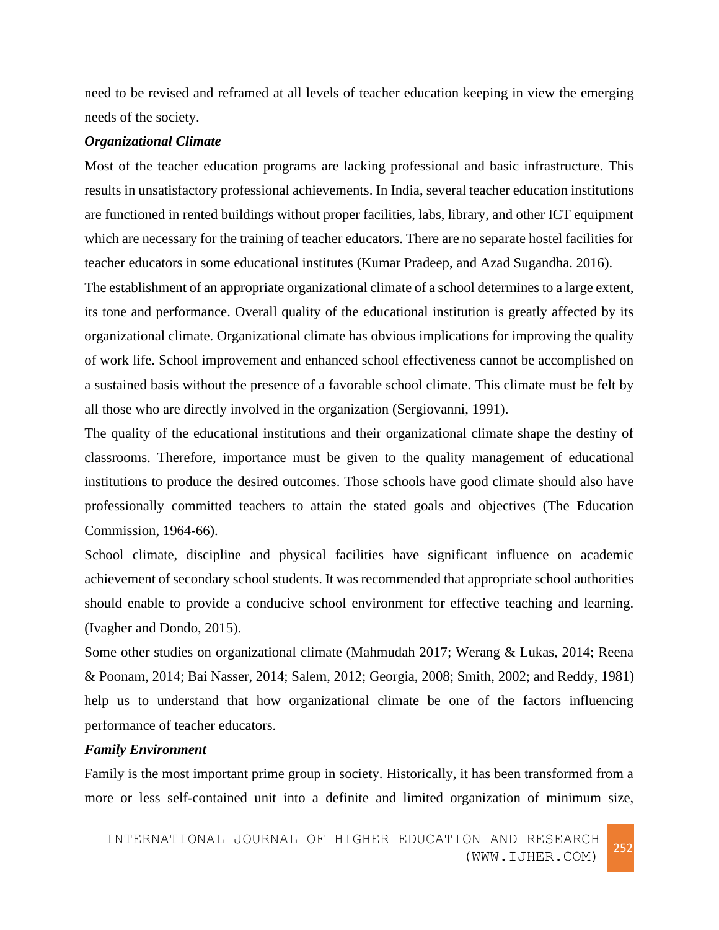need to be revised and reframed at all levels of teacher education keeping in view the emerging needs of the society.

## *Organizational Climate*

Most of the teacher education programs are lacking professional and basic infrastructure. This results in unsatisfactory professional achievements. In India, several teacher education institutions are functioned in rented buildings without proper facilities, labs, library, and other ICT equipment which are necessary for the training of teacher educators. There are no separate hostel facilities for teacher educators in some educational institutes (Kumar Pradeep, and Azad Sugandha. 2016).

The establishment of an appropriate organizational climate of a school determines to a large extent, its tone and performance. Overall quality of the educational institution is greatly affected by its organizational climate. Organizational climate has obvious implications for improving the quality of work life. School improvement and enhanced school effectiveness cannot be accomplished on a sustained basis without the presence of a favorable school climate. This climate must be felt by all those who are directly involved in the organization (Sergiovanni, 1991).

The quality of the educational institutions and their organizational climate shape the destiny of classrooms. Therefore, importance must be given to the quality management of educational institutions to produce the desired outcomes. Those schools have good climate should also have professionally committed teachers to attain the stated goals and objectives (The Education Commission, 1964-66).

School climate, discipline and physical facilities have significant influence on academic achievement of secondary school students. It was recommended that appropriate school authorities should enable to provide a conducive school environment for effective teaching and learning. (Ivagher and Dondo, 2015).

Some other studies on organizational climate (Mahmudah 2017; Werang & Lukas, 2014; Reena & Poonam, 2014; Bai Nasser, 2014; Salem, 2012; Georgia, 2008; [Smith,](http://www.emeraldinsight.com/action/doSearch?ContribStored=Smith%2C+P+A) 2002; and Reddy, 1981) help us to understand that how organizational climate be one of the factors influencing performance of teacher educators.

## *Family Environment*

Family is the most important prime group in society. Historically, it has been transformed from a more or less self-contained unit into a definite and limited organization of minimum size,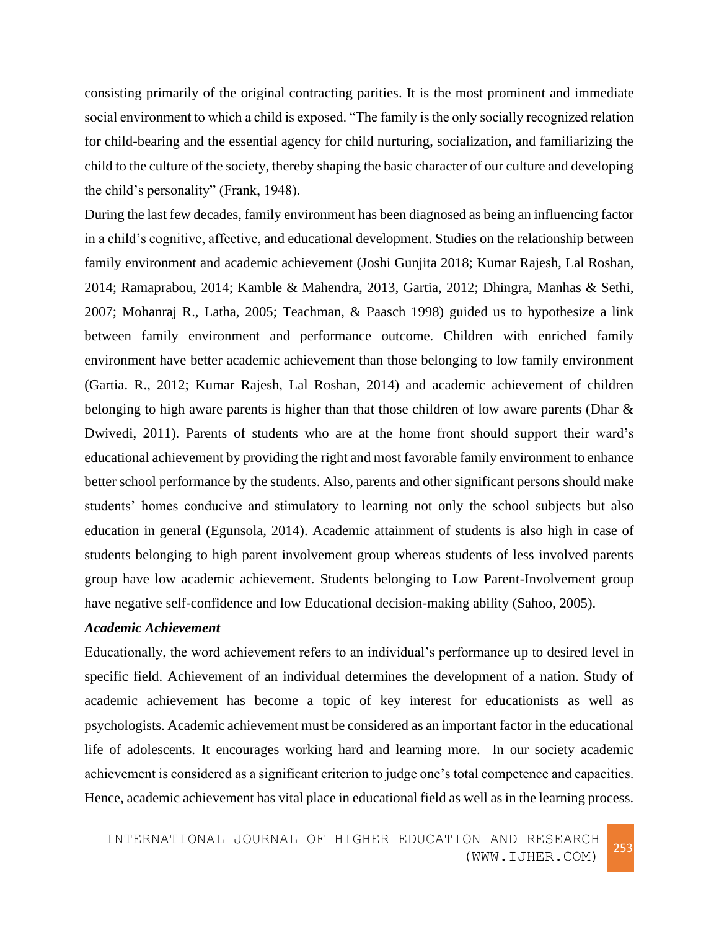consisting primarily of the original contracting parities. It is the most prominent and immediate social environment to which a child is exposed. "The family is the only socially recognized relation for child-bearing and the essential agency for child nurturing, socialization, and familiarizing the child to the culture of the society, thereby shaping the basic character of our culture and developing the child's personality" (Frank, 1948).

During the last few decades, family environment has been diagnosed as being an influencing factor in a child's cognitive, affective, and educational development. Studies on the relationship between family environment and academic achievement (Joshi Gunjita 2018; Kumar Rajesh, Lal Roshan, 2014; Ramaprabou, 2014; Kamble & Mahendra, 2013, Gartia, 2012; Dhingra, Manhas & Sethi, 2007; Mohanraj R., Latha, 2005; Teachman, & Paasch 1998) guided us to hypothesize a link between family environment and performance outcome. Children with enriched family environment have better academic achievement than those belonging to low family environment (Gartia. R., 2012; Kumar Rajesh, Lal Roshan, 2014) and academic achievement of children belonging to high aware parents is higher than that those children of low aware parents (Dhar  $\&$ Dwivedi, 2011). Parents of students who are at the home front should support their ward's educational achievement by providing the right and most favorable family environment to enhance better school performance by the students. Also, parents and other significant persons should make students' homes conducive and stimulatory to learning not only the school subjects but also education in general (Egunsola, 2014). Academic attainment of students is also high in case of students belonging to high parent involvement group whereas students of less involved parents group have low academic achievement. Students belonging to Low Parent-Involvement group have negative self-confidence and low Educational decision-making ability (Sahoo, 2005).

# *Academic Achievement*

Educationally, the word achievement refers to an individual's performance up to desired level in specific field. Achievement of an individual determines the development of a nation. Study of academic achievement has become a topic of key interest for educationists as well as psychologists. Academic achievement must be considered as an important factor in the educational life of adolescents. It encourages working hard and learning more. In our society academic achievement is considered as a significant criterion to judge one's total competence and capacities. Hence, academic achievement has vital place in educational field as well as in the learning process.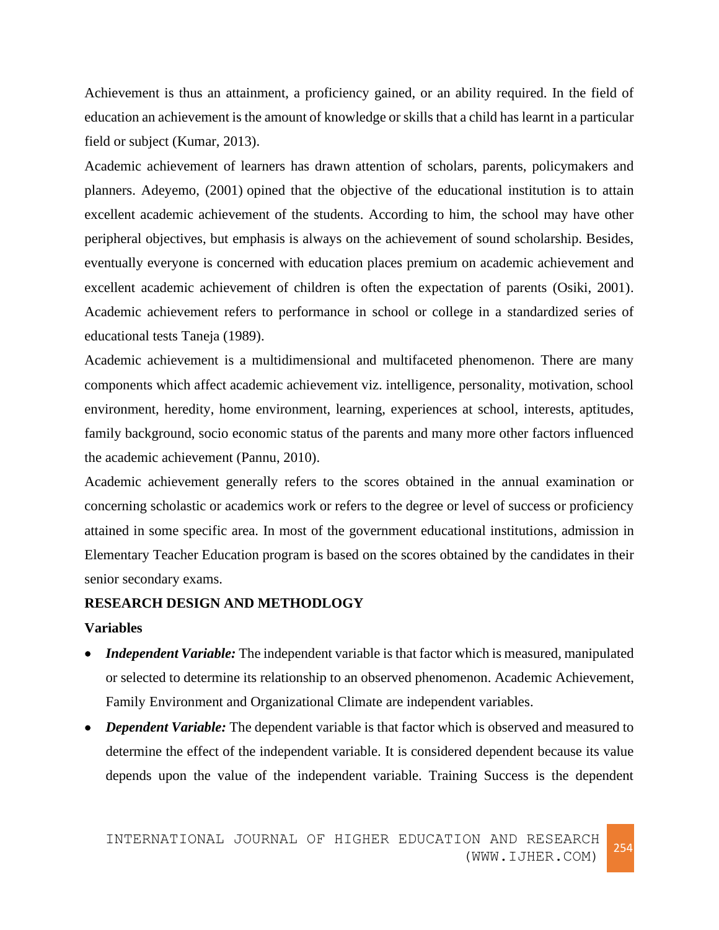Achievement is thus an attainment, a proficiency gained, or an ability required. In the field of education an achievement is the amount of knowledge or skills that a child has learnt in a particular field or subject (Kumar, 2013).

Academic achievement of learners has drawn attention of scholars, parents, policymakers and planners. Adeyemo, (2001) opined that the objective of the educational institution is to attain excellent academic achievement of the students. According to him, the school may have other peripheral objectives, but emphasis is always on the achievement of sound scholarship. Besides, eventually everyone is concerned with education places premium on academic achievement and excellent academic achievement of children is often the expectation of parents (Osiki, 2001). Academic achievement refers to performance in school or college in a standardized series of educational tests Taneja (1989).

Academic achievement is a multidimensional and multifaceted phenomenon. There are many components which affect academic achievement viz. intelligence, personality, motivation, school environment, heredity, home environment, learning, experiences at school, interests, aptitudes, family background, socio economic status of the parents and many more other factors influenced the academic achievement (Pannu, 2010).

Academic achievement generally refers to the scores obtained in the annual examination or concerning scholastic or academics work or refers to the degree or level of success or proficiency attained in some specific area. In most of the government educational institutions, admission in Elementary Teacher Education program is based on the scores obtained by the candidates in their senior secondary exams.

## **RESEARCH DESIGN AND METHODLOGY**

## **Variables**

- *Independent Variable:* The independent variable is that factor which is measured, manipulated or selected to determine its relationship to an observed phenomenon. Academic Achievement, Family Environment and Organizational Climate are independent variables.
- *Dependent Variable:* The dependent variable is that factor which is observed and measured to determine the effect of the independent variable. It is considered dependent because its value depends upon the value of the independent variable. Training Success is the dependent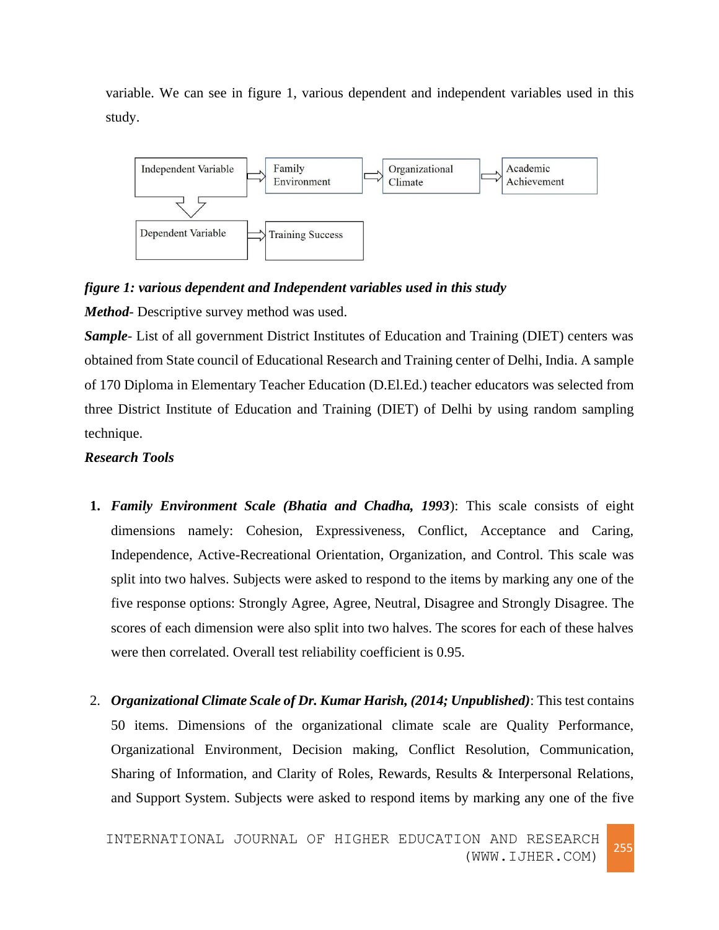variable. We can see in figure 1, various dependent and independent variables used in this study.



# *figure 1: various dependent and Independent variables used in this study*

*Method*- Descriptive survey method was used.

*Sample-* List of all government District Institutes of Education and Training (DIET) centers was obtained from State council of Educational Research and Training center of Delhi, India. A sample of 170 Diploma in Elementary Teacher Education (D.El.Ed.) teacher educators was selected from three District Institute of Education and Training (DIET) of Delhi by using random sampling technique.

# *Research Tools*

- **1.** *Family Environment Scale (Bhatia and Chadha, 1993*): This scale consists of eight dimensions namely: Cohesion, Expressiveness, Conflict, Acceptance and Caring, Independence, Active-Recreational Orientation, Organization, and Control. This scale was split into two halves. Subjects were asked to respond to the items by marking any one of the five response options: Strongly Agree, Agree, Neutral, Disagree and Strongly Disagree. The scores of each dimension were also split into two halves. The scores for each of these halves were then correlated. Overall test reliability coefficient is 0.95.
- 2. *Organizational Climate Scale of Dr. Kumar Harish, (2014; Unpublished)*: This test contains 50 items. Dimensions of the organizational climate scale are Quality Performance, Organizational Environment, Decision making, Conflict Resolution, Communication, Sharing of Information, and Clarity of Roles, Rewards, Results & Interpersonal Relations, and Support System. Subjects were asked to respond items by marking any one of the five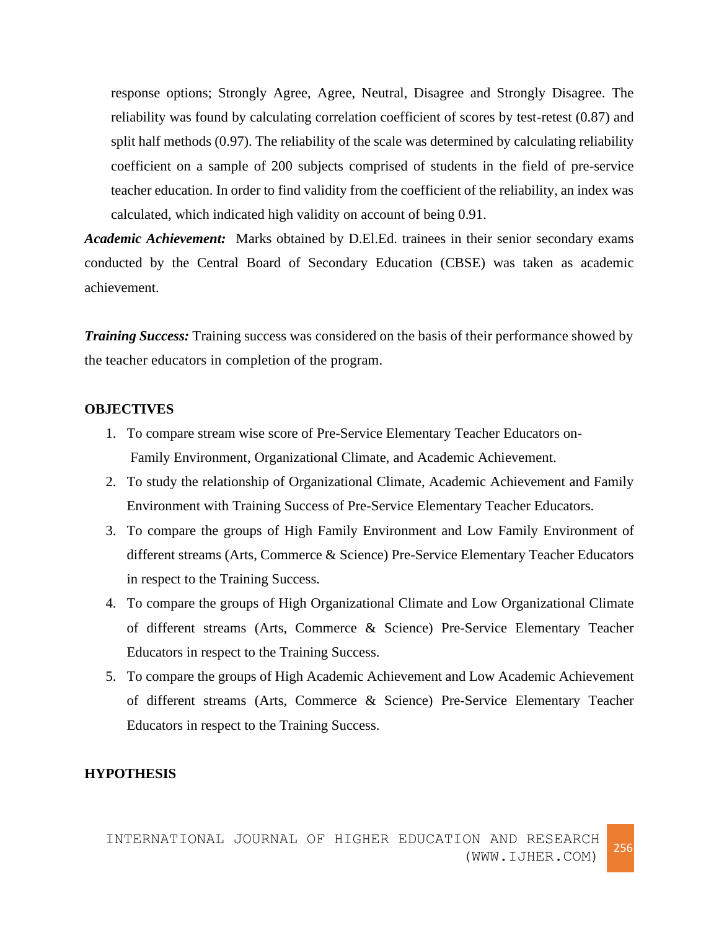response options; Strongly Agree, Agree, Neutral, Disagree and Strongly Disagree. The reliability was found by calculating correlation coefficient of scores by test-retest (0.87) and split half methods (0.97). The reliability of the scale was determined by calculating reliability coefficient on a sample of 200 subjects comprised of students in the field of pre-service teacher education. In order to find validity from the coefficient of the reliability, an index was calculated, which indicated high validity on account of being 0.91.

*Academic Achievement:* Marks obtained by D.El.Ed. trainees in their senior secondary exams conducted by the Central Board of Secondary Education (CBSE) was taken as academic achievement.

*Training Success:* Training success was considered on the basis of their performance showed by the teacher educators in completion of the program.

## **OBJECTIVES**

- 1. To compare stream wise score of Pre-Service Elementary Teacher Educators on- Family Environment, Organizational Climate, and Academic Achievement.
- 2. To study the relationship of Organizational Climate, Academic Achievement and Family Environment with Training Success of Pre-Service Elementary Teacher Educators.
- 3. To compare the groups of High Family Environment and Low Family Environment of different streams (Arts, Commerce & Science) Pre-Service Elementary Teacher Educators in respect to the Training Success.
- 4. To compare the groups of High Organizational Climate and Low Organizational Climate of different streams (Arts, Commerce & Science) Pre-Service Elementary Teacher Educators in respect to the Training Success.
- 5. To compare the groups of High Academic Achievement and Low Academic Achievement of different streams (Arts, Commerce & Science) Pre-Service Elementary Teacher Educators in respect to the Training Success.

### **HYPOTHESIS**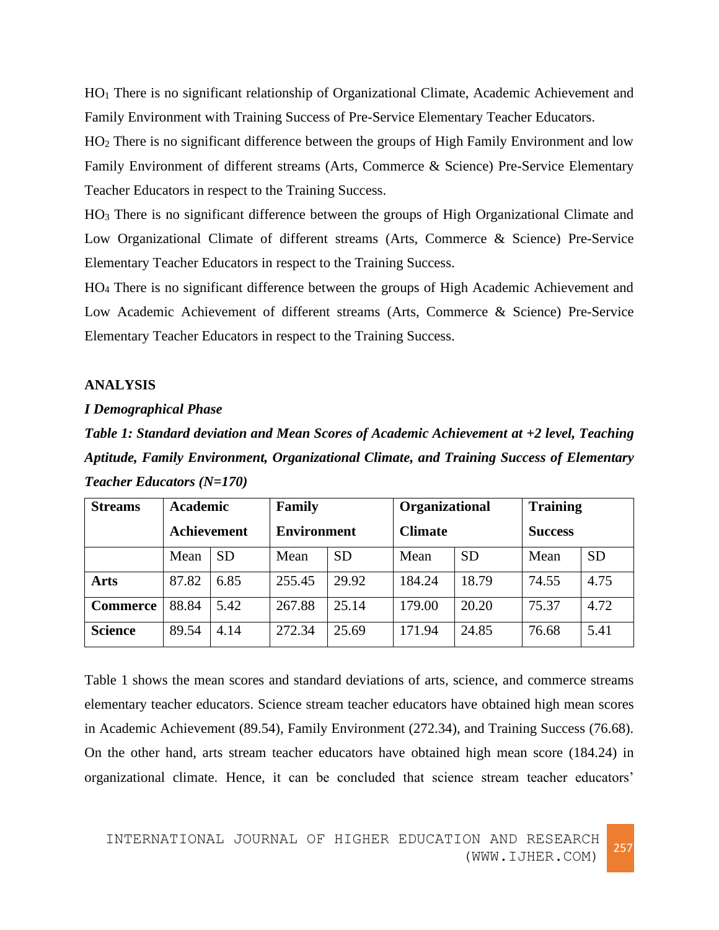HO<sup>1</sup> There is no significant relationship of Organizational Climate, Academic Achievement and Family Environment with Training Success of Pre-Service Elementary Teacher Educators.

HO<sup>2</sup> There is no significant difference between the groups of High Family Environment and low Family Environment of different streams (Arts, Commerce & Science) Pre-Service Elementary Teacher Educators in respect to the Training Success.

HO<sup>3</sup> There is no significant difference between the groups of High Organizational Climate and Low Organizational Climate of different streams (Arts, Commerce & Science) Pre-Service Elementary Teacher Educators in respect to the Training Success.

HO<sup>4</sup> There is no significant difference between the groups of High Academic Achievement and Low Academic Achievement of different streams (Arts, Commerce & Science) Pre-Service Elementary Teacher Educators in respect to the Training Success.

#### **ANALYSIS**

## *I Demographical Phase*

*Table 1: Standard deviation and Mean Scores of Academic Achievement at +2 level, Teaching Aptitude, Family Environment, Organizational Climate, and Training Success of Elementary Teacher Educators (N=170)*

| <b>Streams</b>  | <b>Academic</b> |           | Family             |           | <b>Organizational</b> |           | <b>Training</b> |           |
|-----------------|-----------------|-----------|--------------------|-----------|-----------------------|-----------|-----------------|-----------|
|                 | Achievement     |           | <b>Environment</b> |           | <b>Climate</b>        |           | <b>Success</b>  |           |
|                 | Mean            | <b>SD</b> | Mean               | <b>SD</b> | Mean                  | <b>SD</b> | Mean            | <b>SD</b> |
| <b>Arts</b>     | 87.82           | 6.85      | 255.45             | 29.92     | 184.24                | 18.79     | 74.55           | 4.75      |
| <b>Commerce</b> | 88.84           | 5.42      | 267.88             | 25.14     | 179.00                | 20.20     | 75.37           | 4.72      |
| <b>Science</b>  | 89.54           | 4.14      | 272.34             | 25.69     | 171.94                | 24.85     | 76.68           | 5.41      |

Table 1 shows the mean scores and standard deviations of arts, science, and commerce streams elementary teacher educators. Science stream teacher educators have obtained high mean scores in Academic Achievement (89.54), Family Environment (272.34), and Training Success (76.68). On the other hand, arts stream teacher educators have obtained high mean score (184.24) in organizational climate. Hence, it can be concluded that science stream teacher educators'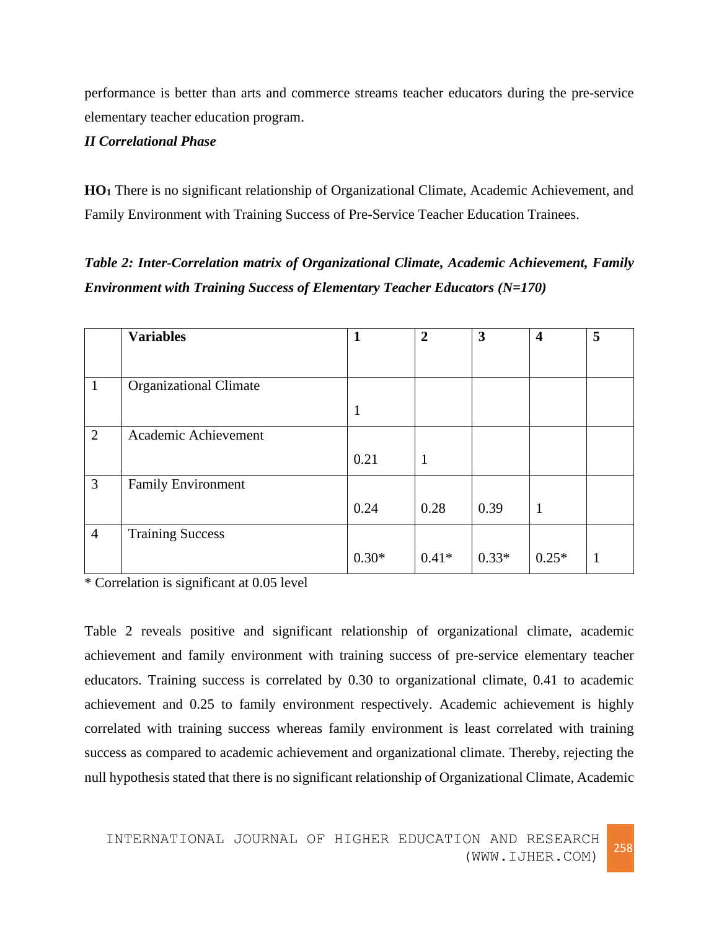performance is better than arts and commerce streams teacher educators during the pre-service elementary teacher education program.

# *II Correlational Phase*

**HO<sup>1</sup>** There is no significant relationship of Organizational Climate, Academic Achievement, and Family Environment with Training Success of Pre-Service Teacher Education Trainees.

*Table 2: Inter-Correlation matrix of Organizational Climate, Academic Achievement, Family Environment with Training Success of Elementary Teacher Educators (N=170)*

|                | <b>Variables</b>              |         | $\overline{2}$ | 3       | $\overline{\mathbf{4}}$ | 5  |
|----------------|-------------------------------|---------|----------------|---------|-------------------------|----|
|                |                               |         |                |         |                         |    |
| 1              | <b>Organizational Climate</b> |         |                |         |                         |    |
|                |                               | 1       |                |         |                         |    |
| $\overline{2}$ | Academic Achievement          |         |                |         |                         |    |
|                |                               | 0.21    | $\mathbf{1}$   |         |                         |    |
| 3              | <b>Family Environment</b>     |         |                |         |                         |    |
|                |                               | 0.24    | 0.28           | 0.39    | $\mathbf{1}$            |    |
| $\overline{4}$ | <b>Training Success</b>       |         |                |         |                         |    |
|                |                               | $0.30*$ | $0.41*$        | $0.33*$ | $0.25*$                 | -1 |

\* Correlation is significant at 0.05 level

Table 2 reveals positive and significant relationship of organizational climate, academic achievement and family environment with training success of pre-service elementary teacher educators. Training success is correlated by 0.30 to organizational climate, 0.41 to academic achievement and 0.25 to family environment respectively. Academic achievement is highly correlated with training success whereas family environment is least correlated with training success as compared to academic achievement and organizational climate. Thereby, rejecting the null hypothesis stated that there is no significant relationship of Organizational Climate, Academic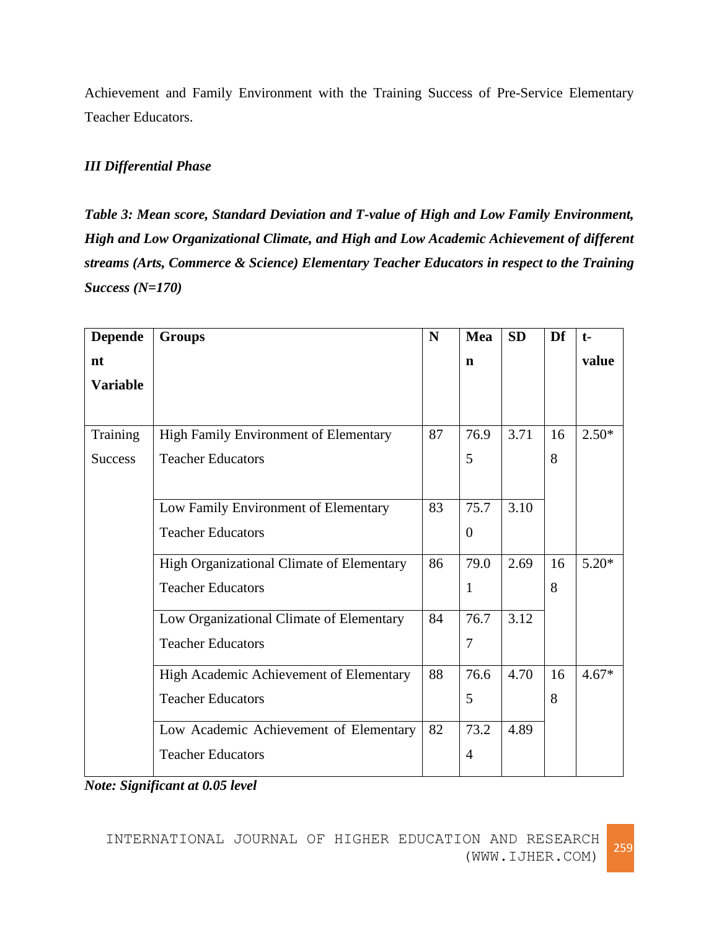Achievement and Family Environment with the Training Success of Pre-Service Elementary Teacher Educators.

# *III Differential Phase*

*Table 3: Mean score, Standard Deviation and T-value of High and Low Family Environment, High and Low Organizational Climate, and High and Low Academic Achievement of different streams (Arts, Commerce & Science) Elementary Teacher Educators in respect to the Training Success (N=170)*

| <b>Depende</b>  | <b>Groups</b>                             | N  | Mea            | <b>SD</b> | Df | $t-$    |
|-----------------|-------------------------------------------|----|----------------|-----------|----|---------|
| nt              |                                           |    | $\mathbf n$    |           |    | value   |
| <b>Variable</b> |                                           |    |                |           |    |         |
|                 |                                           |    |                |           |    |         |
| Training        | High Family Environment of Elementary     | 87 | 76.9           | 3.71      | 16 | $2.50*$ |
| <b>Success</b>  | <b>Teacher Educators</b>                  |    | 5              |           | 8  |         |
|                 |                                           |    |                |           |    |         |
|                 | Low Family Environment of Elementary      | 83 | 75.7           | 3.10      |    |         |
|                 | <b>Teacher Educators</b>                  |    | $\overline{0}$ |           |    |         |
|                 |                                           |    |                |           |    |         |
|                 | High Organizational Climate of Elementary | 86 | 79.0           | 2.69      | 16 | $5.20*$ |
|                 | <b>Teacher Educators</b>                  |    | 1              |           | 8  |         |
|                 | Low Organizational Climate of Elementary  | 84 | 76.7           | 3.12      |    |         |
|                 | <b>Teacher Educators</b>                  |    | 7              |           |    |         |
|                 |                                           |    |                |           |    |         |
|                 | High Academic Achievement of Elementary   | 88 | 76.6           | 4.70      | 16 | $4.67*$ |
|                 | <b>Teacher Educators</b>                  |    | 5              |           | 8  |         |
|                 | Low Academic Achievement of Elementary    | 82 | 73.2           | 4.89      |    |         |
|                 | <b>Teacher Educators</b>                  |    | 4              |           |    |         |
|                 |                                           |    |                |           |    |         |

*Note: Significant at 0.05 level*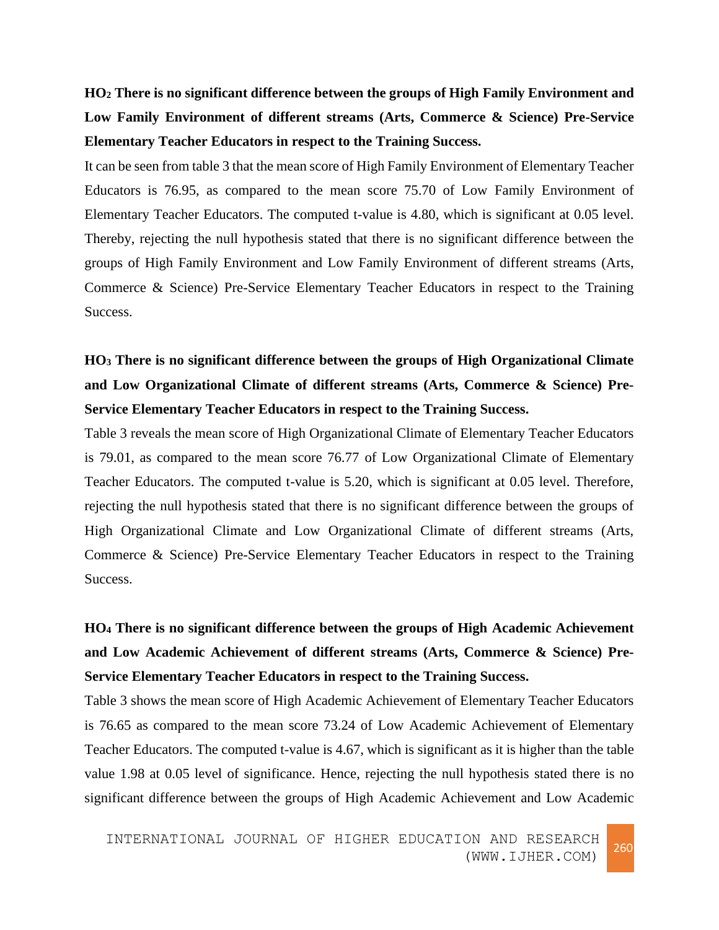**HO<sup>2</sup> There is no significant difference between the groups of High Family Environment and Low Family Environment of different streams (Arts, Commerce & Science) Pre-Service Elementary Teacher Educators in respect to the Training Success.**

It can be seen from table 3 that the mean score of High Family Environment of Elementary Teacher Educators is 76.95, as compared to the mean score 75.70 of Low Family Environment of Elementary Teacher Educators. The computed t-value is 4.80, which is significant at 0.05 level. Thereby, rejecting the null hypothesis stated that there is no significant difference between the groups of High Family Environment and Low Family Environment of different streams (Arts, Commerce & Science) Pre-Service Elementary Teacher Educators in respect to the Training Success.

# **HO<sup>3</sup> There is no significant difference between the groups of High Organizational Climate and Low Organizational Climate of different streams (Arts, Commerce & Science) Pre-Service Elementary Teacher Educators in respect to the Training Success.**

Table 3 reveals the mean score of High Organizational Climate of Elementary Teacher Educators is 79.01, as compared to the mean score 76.77 of Low Organizational Climate of Elementary Teacher Educators. The computed t-value is 5.20, which is significant at 0.05 level. Therefore, rejecting the null hypothesis stated that there is no significant difference between the groups of High Organizational Climate and Low Organizational Climate of different streams (Arts, Commerce & Science) Pre-Service Elementary Teacher Educators in respect to the Training Success.

# **HO<sup>4</sup> There is no significant difference between the groups of High Academic Achievement and Low Academic Achievement of different streams (Arts, Commerce & Science) Pre-Service Elementary Teacher Educators in respect to the Training Success.**

Table 3 shows the mean score of High Academic Achievement of Elementary Teacher Educators is 76.65 as compared to the mean score 73.24 of Low Academic Achievement of Elementary Teacher Educators. The computed t-value is 4.67, which is significant as it is higher than the table value 1.98 at 0.05 level of significance. Hence, rejecting the null hypothesis stated there is no significant difference between the groups of High Academic Achievement and Low Academic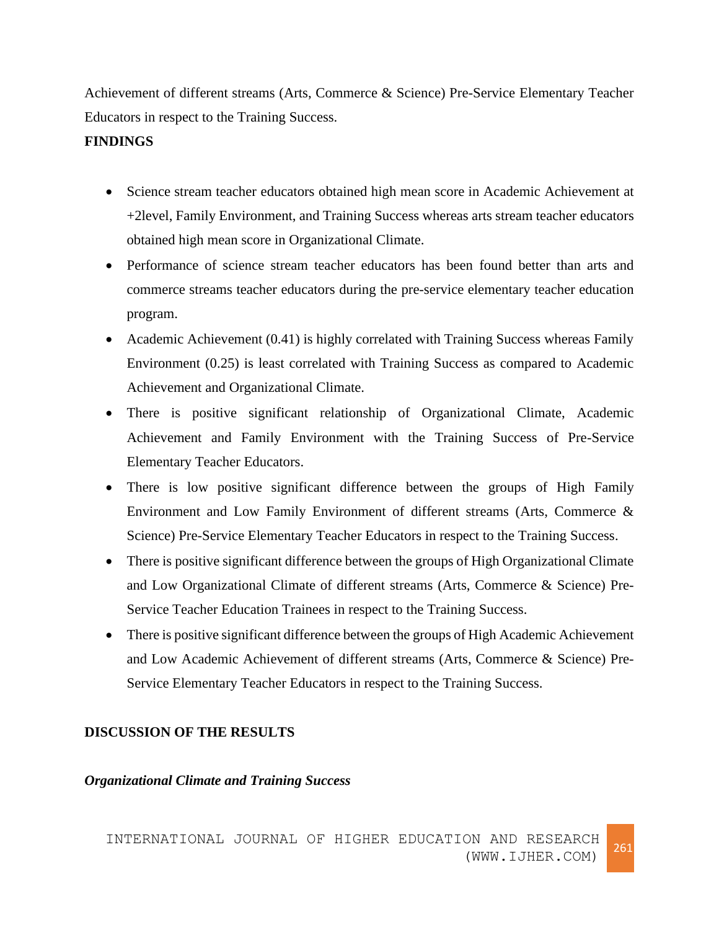Achievement of different streams (Arts, Commerce & Science) Pre-Service Elementary Teacher Educators in respect to the Training Success.

# **FINDINGS**

- Science stream teacher educators obtained high mean score in Academic Achievement at +2level, Family Environment, and Training Success whereas arts stream teacher educators obtained high mean score in Organizational Climate.
- Performance of science stream teacher educators has been found better than arts and commerce streams teacher educators during the pre-service elementary teacher education program.
- Academic Achievement (0.41) is highly correlated with Training Success whereas Family Environment (0.25) is least correlated with Training Success as compared to Academic Achievement and Organizational Climate.
- There is positive significant relationship of Organizational Climate, Academic Achievement and Family Environment with the Training Success of Pre-Service Elementary Teacher Educators.
- There is low positive significant difference between the groups of High Family Environment and Low Family Environment of different streams (Arts, Commerce & Science) Pre-Service Elementary Teacher Educators in respect to the Training Success.
- There is positive significant difference between the groups of High Organizational Climate and Low Organizational Climate of different streams (Arts, Commerce & Science) Pre-Service Teacher Education Trainees in respect to the Training Success.
- There is positive significant difference between the groups of High Academic Achievement and Low Academic Achievement of different streams (Arts, Commerce & Science) Pre-Service Elementary Teacher Educators in respect to the Training Success.

# **DISCUSSION OF THE RESULTS**

# *Organizational Climate and Training Success*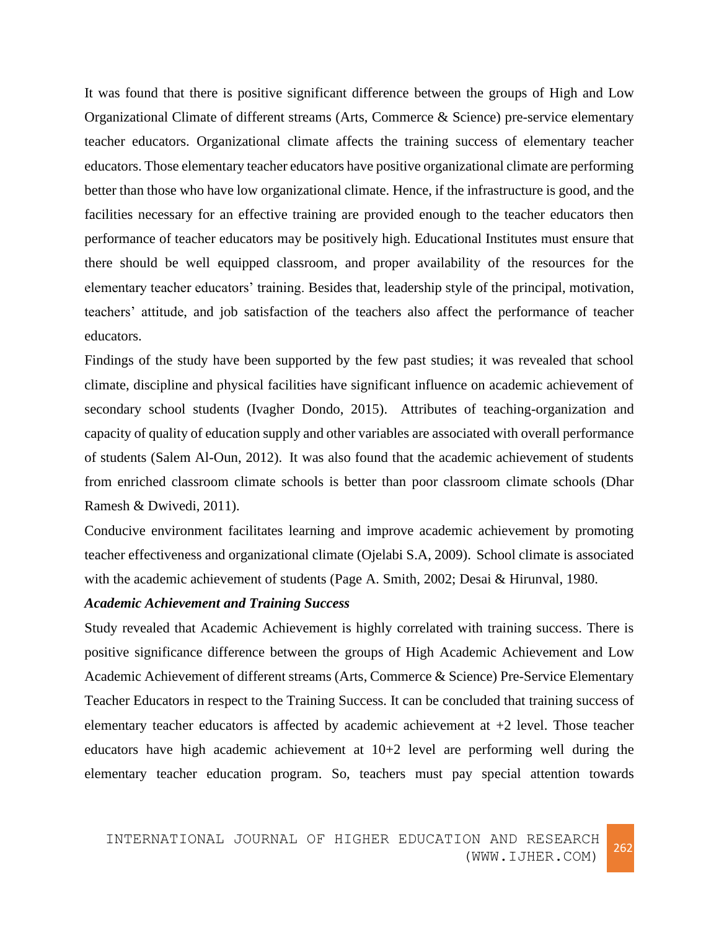It was found that there is positive significant difference between the groups of High and Low Organizational Climate of different streams (Arts, Commerce & Science) pre-service elementary teacher educators. Organizational climate affects the training success of elementary teacher educators. Those elementary teacher educators have positive organizational climate are performing better than those who have low organizational climate. Hence, if the infrastructure is good, and the facilities necessary for an effective training are provided enough to the teacher educators then performance of teacher educators may be positively high. Educational Institutes must ensure that there should be well equipped classroom, and proper availability of the resources for the elementary teacher educators' training. Besides that, leadership style of the principal, motivation, teachers' attitude, and job satisfaction of the teachers also affect the performance of teacher educators.

Findings of the study have been supported by the few past studies; it was revealed that school climate, discipline and physical facilities have significant influence on academic achievement of secondary school students (Ivagher Dondo, 2015). Attributes of teaching-organization and capacity of quality of education supply and other variables are associated with overall performance of students (Salem Al-Oun, 2012). It was also found that the academic achievement of students from enriched classroom climate schools is better than poor classroom climate schools (Dhar Ramesh & Dwivedi, 2011).

Conducive environment facilitates learning and improve academic achievement by promoting teacher effectiveness and organizational climate (Ojelabi S.A, 2009). School climate is associated with the academic achievement of students [\(Page A. Smith,](http://www.emeraldinsight.com/action/doSearch?ContribStored=Smith%2C+P+A) 2002; Desai & Hirunval, 1980.

## *Academic Achievement and Training Success*

Study revealed that Academic Achievement is highly correlated with training success. There is positive significance difference between the groups of High Academic Achievement and Low Academic Achievement of different streams (Arts, Commerce & Science) Pre-Service Elementary Teacher Educators in respect to the Training Success. It can be concluded that training success of elementary teacher educators is affected by academic achievement at  $+2$  level. Those teacher educators have high academic achievement at 10+2 level are performing well during the elementary teacher education program. So, teachers must pay special attention towards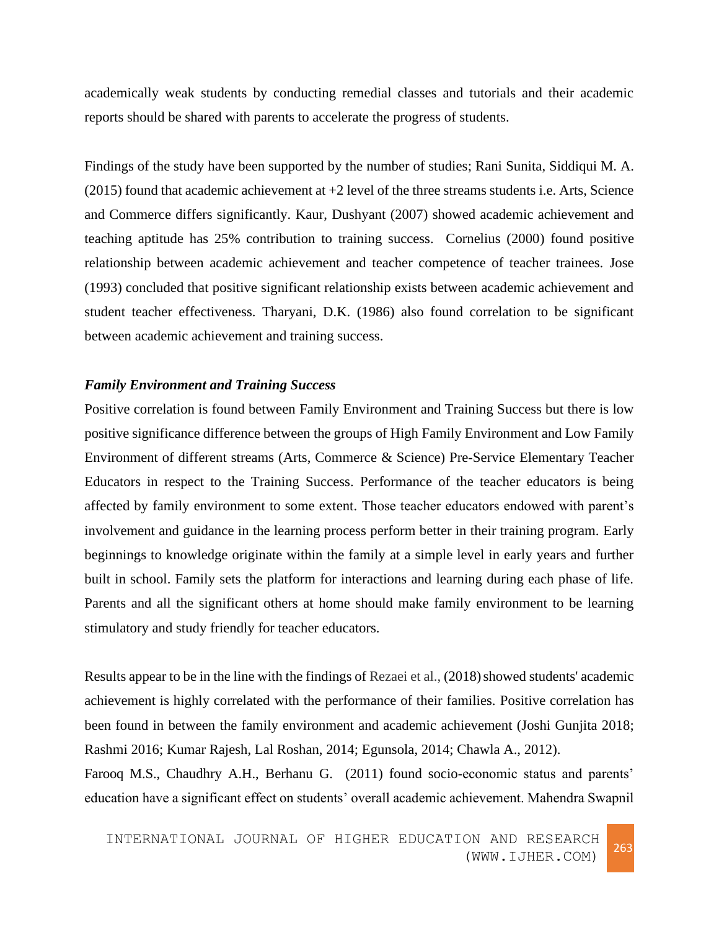academically weak students by conducting remedial classes and tutorials and their academic reports should be shared with parents to accelerate the progress of students.

Findings of the study have been supported by the number of studies; Rani Sunita, Siddiqui M. A.  $(2015)$  found that academic achievement at  $+2$  level of the three streams students i.e. Arts, Science and Commerce differs significantly. Kaur, Dushyant (2007) showed academic achievement and teaching aptitude has 25% contribution to training success. Cornelius (2000) found positive relationship between academic achievement and teacher competence of teacher trainees. Jose (1993) concluded that positive significant relationship exists between academic achievement and student teacher effectiveness. Tharyani, D.K. (1986) also found correlation to be significant between academic achievement and training success.

#### *Family Environment and Training Success*

Positive correlation is found between Family Environment and Training Success but there is low positive significance difference between the groups of High Family Environment and Low Family Environment of different streams (Arts, Commerce & Science) Pre-Service Elementary Teacher Educators in respect to the Training Success. Performance of the teacher educators is being affected by family environment to some extent. Those teacher educators endowed with parent's involvement and guidance in the learning process perform better in their training program. Early beginnings to knowledge originate within the family at a simple level in early years and further built in school. Family sets the platform for interactions and learning during each phase of life. Parents and all the significant others at home should make family environment to be learning stimulatory and study friendly for teacher educators.

Results appear to be in the line with the findings of Rezaei et al., (2018) showed students' academic achievement is highly correlated with the performance of their families. Positive correlation has been found in between the family environment and academic achievement (Joshi Gunjita 2018; Rashmi 2016; Kumar Rajesh, Lal Roshan, 2014; Egunsola, 2014; Chawla A., 2012).

Farooq M.S., Chaudhry A.H., Berhanu G. (2011) found socio-economic status and parents' education have a significant effect on students' overall academic achievement. Mahendra Swapnil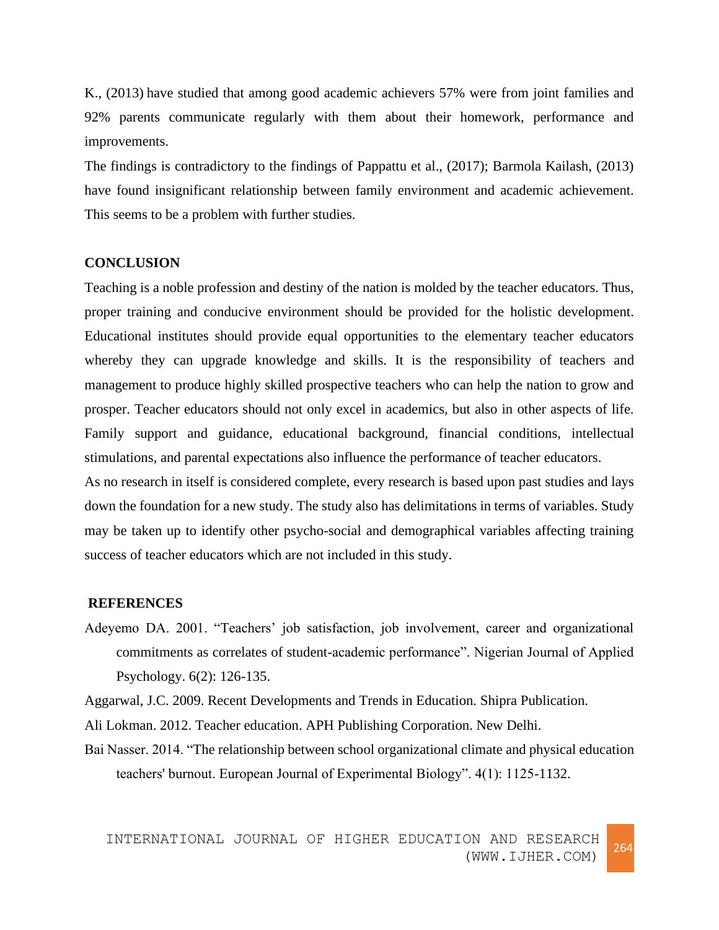K., (2013) have studied that among good academic achievers 57% were from joint families and 92% parents communicate regularly with them about their homework, performance and improvements.

The findings is contradictory to the findings of Pappattu et al., (2017); Barmola Kailash, (2013) have found insignificant relationship between family environment and academic achievement. This seems to be a problem with further studies.

#### **CONCLUSION**

Teaching is a noble profession and destiny of the nation is molded by the teacher educators. Thus, proper training and conducive environment should be provided for the holistic development. Educational institutes should provide equal opportunities to the elementary teacher educators whereby they can upgrade knowledge and skills. It is the responsibility of teachers and management to produce highly skilled prospective teachers who can help the nation to grow and prosper. Teacher educators should not only excel in academics, but also in other aspects of life. Family support and guidance, educational background, financial conditions, intellectual stimulations, and parental expectations also influence the performance of teacher educators.

As no research in itself is considered complete, every research is based upon past studies and lays down the foundation for a new study. The study also has delimitations in terms of variables. Study may be taken up to identify other psycho-social and demographical variables affecting training success of teacher educators which are not included in this study.

#### **REFERENCES**

Adeyemo DA. 2001. "Teachers' job satisfaction, job involvement, career and organizational commitments as correlates of student-academic performance". Nigerian Journal of Applied Psychology. 6(2): 126-135.

Aggarwal, J.C. 2009. Recent Developments and Trends in Education. Shipra Publication.

Ali Lokman. 2012. Teacher education. APH Publishing Corporation. New Delhi.

Bai Nasser. 2014. "The relationship between school organizational climate and physical education teachers' burnout. European Journal of Experimental Biology". 4(1): 1125-1132.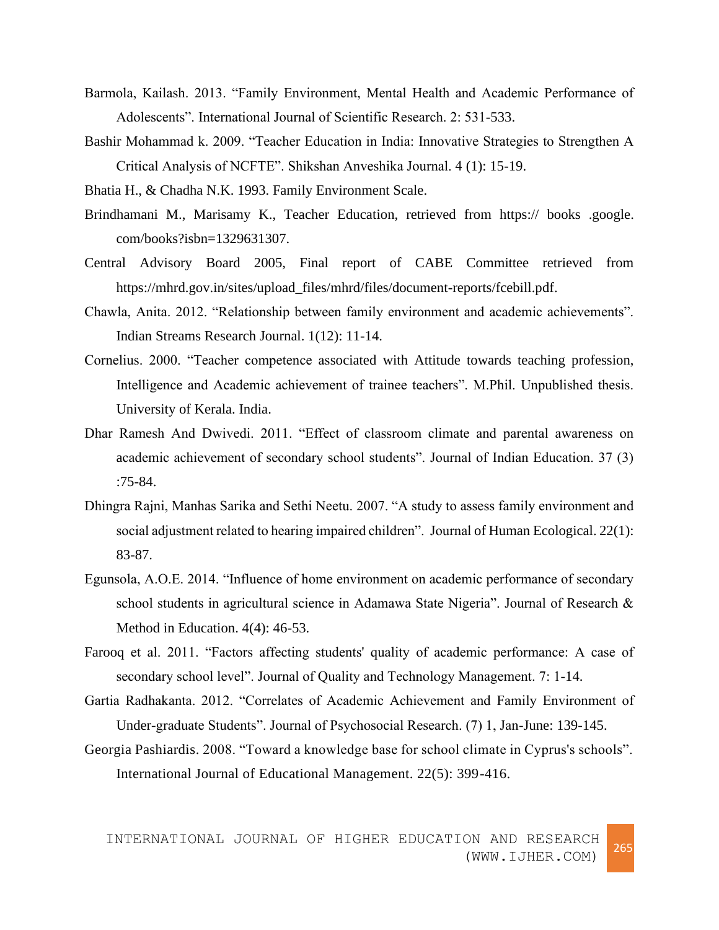- Barmola, Kailash. 2013. "Family Environment, Mental Health and Academic Performance of Adolescents". International Journal of Scientific Research. 2: 531-533.
- Bashir Mohammad k. 2009. "Teacher Education in India: Innovative Strategies to Strengthen A Critical Analysis of NCFTE". Shikshan Anveshika Journal. 4 (1): 15-19.
- Bhatia H., & Chadha N.K. 1993. Family Environment Scale.
- Brindhamani M., Marisamy K., Teacher Education, retrieved from https:// books .google. com/books?isbn=1329631307.
- Central Advisory Board 2005, Final report of CABE Committee retrieved from [https://mhrd.gov.in/sites/upload\\_files/mhrd/files/document-reports/fcebill.pdf.](https://mhrd.gov.in/sites/upload_files/mhrd/files/document-reports/fcebill.pdf)
- Chawla, Anita. 2012. "Relationship between family environment and academic achievements". Indian Streams Research Journal. 1(12): 11-14.
- Cornelius. 2000. "Teacher competence associated with Attitude towards teaching profession, Intelligence and Academic achievement of trainee teachers". M.Phil. Unpublished thesis. University of Kerala. India.
- Dhar Ramesh And Dwivedi. 2011. "Effect of classroom climate and parental awareness on academic achievement of secondary school students". Journal of Indian Education. 37 (3) :75-84.
- Dhingra Rajni, Manhas Sarika and Sethi Neetu. 2007. "A study to assess family environment and social adjustment related to hearing impaired children". Journal of Human Ecological. 22(1): 83-87.
- Egunsola, A.O.E. 2014. "Influence of home environment on academic performance of secondary school students in agricultural science in Adamawa State Nigeria". Journal of Research & Method in Education. 4(4): 46-53.
- Farooq et al. 2011. "Factors affecting students' quality of academic performance: A case of secondary school level". Journal of Quality and Technology Management. 7: 1-14.
- Gartia Radhakanta. 2012. "Correlates of Academic Achievement and Family Environment of Under-graduate Students". Journal of Psychosocial Research. (7) 1, Jan-June: 139-145.
- [Georgia Pashiardis.](http://www.emeraldinsight.com/author/Pashiardis%2C+Georgia) 2008. "Toward a knowledge base for school climate in Cyprus's schools". International Journal of Educational Management. 22(5): 399-416.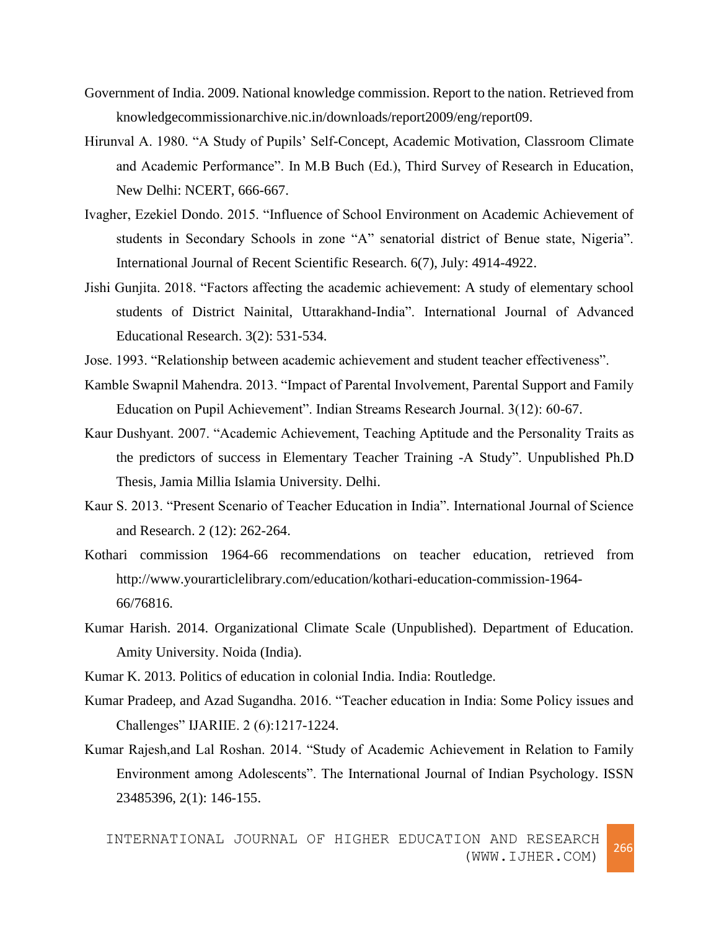- Government of India. 2009. National knowledge commission. Report to the nation. Retrieved from knowledgecommissionarchive.nic.in/downloads/report2009/eng/report09.
- Hirunval A. 1980. "A Study of Pupils' Self-Concept, Academic Motivation, Classroom Climate and Academic Performance". In M.B Buch (Ed.), Third Survey of Research in Education, New Delhi: NCERT, 666-667.
- Ivagher, Ezekiel Dondo. 2015. "Influence of School Environment on Academic Achievement of students in Secondary Schools in zone "A" senatorial district of Benue state, Nigeria". International Journal of Recent Scientific Research. 6(7), July: 4914-4922.
- Jishi Gunjita. 2018. "Factors affecting the academic achievement: A study of elementary school students of District Nainital, Uttarakhand-India". International Journal of Advanced Educational Research. 3(2): 531-534.
- Jose. 1993. "Relationship between academic achievement and student teacher effectiveness".
- Kamble Swapnil Mahendra. 2013. "Impact of Parental Involvement, Parental Support and Family Education on Pupil Achievement". Indian Streams Research Journal. 3(12): 60-67.
- Kaur Dushyant. 2007. "Academic Achievement, Teaching Aptitude and the Personality Traits as the predictors of success in Elementary Teacher Training -A Study". Unpublished Ph.D Thesis, Jamia Millia Islamia University. Delhi.
- Kaur S. 2013. "Present Scenario of Teacher Education in India". International Journal of Science and Research. 2 (12): 262-264.
- Kothari commission 1964-66 recommendations on teacher education, retrieved from [http://www.yourarticlelibrary.com/education/kothari-education-commission-1964-](http://www.yourarticlelibrary.com/education/kothari-education-commission-1964-66/76816) [66/76816.](http://www.yourarticlelibrary.com/education/kothari-education-commission-1964-66/76816)
- Kumar Harish. 2014. Organizational Climate Scale (Unpublished). Department of Education. Amity University. Noida (India).
- Kumar K. 2013. Politics of education in colonial India. India: Routledge.
- Kumar Pradeep, and Azad Sugandha. 2016. "Teacher education in India: Some Policy issues and Challenges" IJARIIE. 2 (6):1217-1224.
- Kumar Rajesh,and Lal Roshan. 2014. "Study of Academic Achievement in Relation to Family Environment among Adolescents". The International Journal of Indian Psychology. ISSN 23485396, 2(1): 146-155.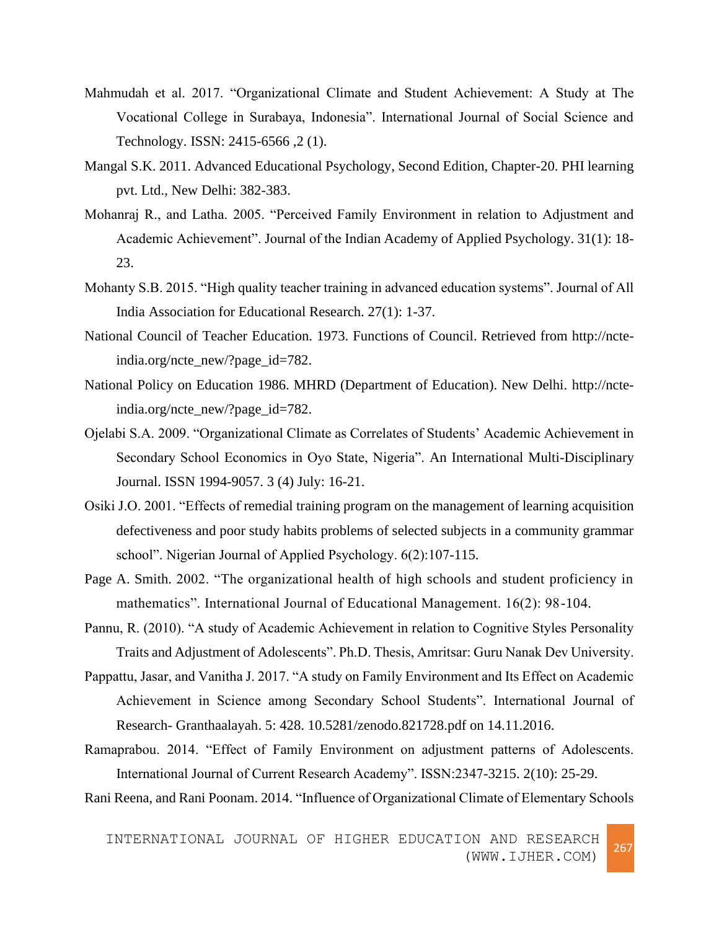- Mahmudah et al. 2017. "Organizational Climate and Student Achievement: A Study at The Vocational College in Surabaya, Indonesia". International Journal of Social Science and Technology. ISSN: 2415-6566 ,2 (1).
- Mangal S.K. 2011. Advanced Educational Psychology, Second Edition, Chapter-20. PHI learning pvt. Ltd., New Delhi: 382-383.
- Mohanraj R., and Latha. 2005. "Perceived Family Environment in relation to Adjustment and Academic Achievement". Journal of the Indian Academy of Applied Psychology. 31(1): 18- 23.
- Mohanty S.B. 2015. "High quality teacher training in advanced education systems". Journal of All India Association for Educational Research. 27(1): 1-37.
- National Council of Teacher Education. 1973. Functions of Council. Retrieved from http://ncteindia.org/ncte\_new/?page\_id=782.
- National Policy on Education 1986. MHRD (Department of Education). New Delhi. [http://ncte](http://ncte-india.org/ncte_new/?page_id=782)[india.org/ncte\\_new/?page\\_id=782.](http://ncte-india.org/ncte_new/?page_id=782)
- Ojelabi S.A. 2009. "Organizational Climate as Correlates of Students' Academic Achievement in Secondary School Economics in Oyo State, Nigeria". An International Multi-Disciplinary Journal. ISSN 1994-9057. 3 (4) July: 16-21.
- Osiki J.O. 2001. "Effects of remedial training program on the management of learning acquisition defectiveness and poor study habits problems of selected subjects in a community grammar school". Nigerian Journal of Applied Psychology. 6(2):107-115.
- Page A. Smith. 2002. "The organizational health of high schools and student proficiency in mathematics". International Journal of Educational Management. 16(2): 98-104.
- Pannu, R. (2010). "A study of Academic Achievement in relation to Cognitive Styles Personality Traits and Adjustment of Adolescents". Ph.D. Thesis, Amritsar: Guru Nanak Dev University.
- Pappattu, Jasar, and Vanitha J. 2017. "A study on Family Environment and Its Effect on Academic Achievement in Science among Secondary School Students". International Journal of Research- Granthaalayah. 5: 428. 10.5281/zenodo.821728.pdf on 14.11.2016.
- Ramaprabou. 2014. "Effect of Family Environment on adjustment patterns of Adolescents. International Journal of Current Research Academy". ISSN:2347-3215. 2(10): 25-29.

Rani Reena, and Rani Poonam. 2014. "Influence of Organizational Climate of Elementary Schools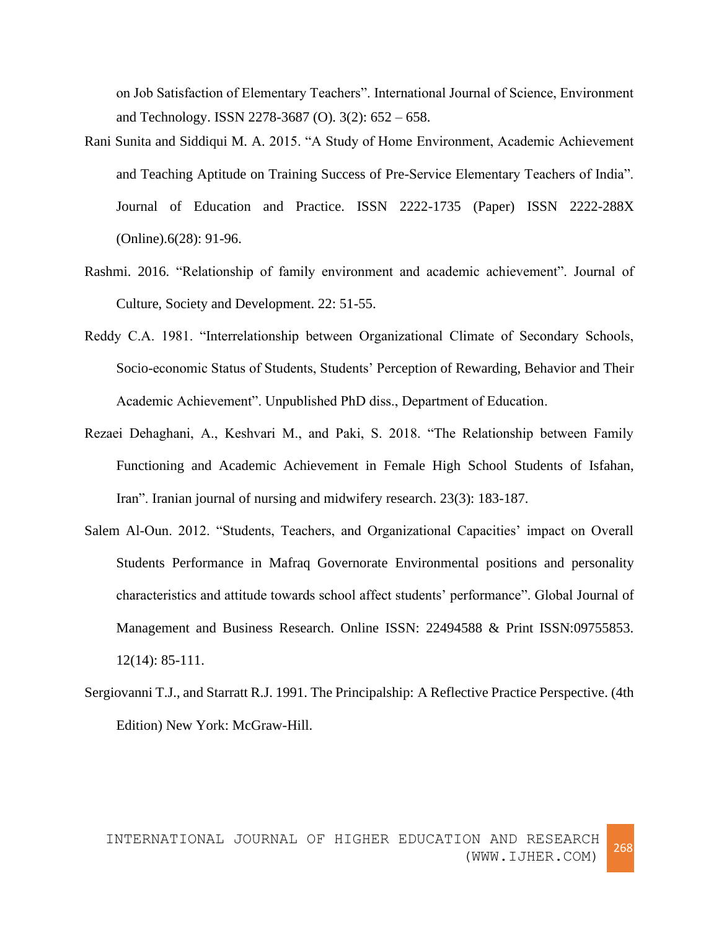on Job Satisfaction of Elementary Teachers". International Journal of Science, Environment and Technology. ISSN 2278-3687 (O). 3(2): 652 – 658.

- Rani Sunita and Siddiqui M. A. 2015. "A Study of Home Environment, Academic Achievement and Teaching Aptitude on Training Success of Pre-Service Elementary Teachers of India". Journal of Education and Practice. ISSN 2222-1735 (Paper) ISSN 2222-288X (Online).6(28): 91-96.
- Rashmi. 2016. "Relationship of family environment and academic achievement". Journal of Culture, Society and Development. 22: 51-55.
- Reddy C.A. 1981. "Interrelationship between Organizational Climate of Secondary Schools, Socio-economic Status of Students, Students' Perception of Rewarding, Behavior and Their Academic Achievement". Unpublished PhD diss., Department of Education.
- Rezaei Dehaghani, A., Keshvari M., and Paki, S. 2018. "The Relationship between Family Functioning and Academic Achievement in Female High School Students of Isfahan, Iran". Iranian journal of nursing and midwifery research. 23(3): 183-187.
- Salem Al-Oun. 2012. "Students, Teachers, and Organizational Capacities' impact on Overall Students Performance in Mafraq Governorate Environmental positions and personality characteristics and attitude towards school affect students' performance". Global Journal of Management and Business Research. Online ISSN: 22494588 & Print ISSN:09755853. 12(14): 85-111.
- Sergiovanni T.J., and Starratt R.J. 1991. The Principalship: A Reflective Practice Perspective. (4th Edition) New York: McGraw-Hill.